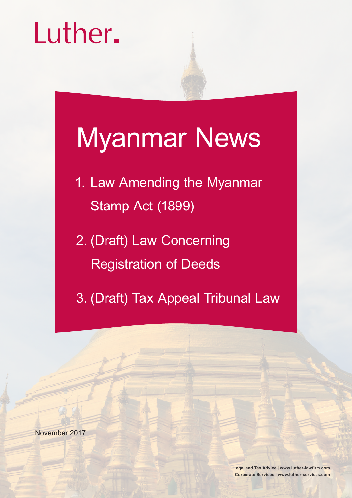# Luther.

## Myanmar News

- 1. Law Amending the Myanmar Stamp Act (1899)
- 2. (Draft) Law Concerning Registration of Deeds
- 3. (Draft) Tax Appeal Tribunal Law

November 2017

**Legal and Tax Advice | www.luther-lawfirm.com Corporate Services | www.luther-services.com**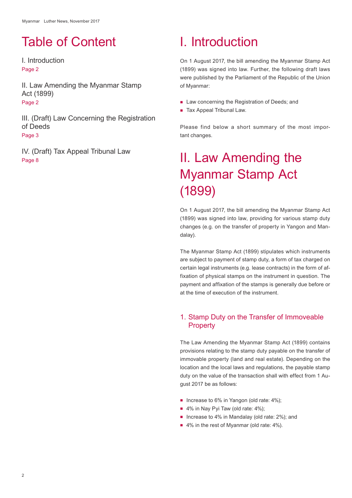## Table of Content

I. Introduction Page 2

II. Law Amending the Myanmar Stamp Act (1899) Page 2

III. (Draft) Law Concerning the Registration of Deeds Page 3

IV. (Draft) Tax Appeal Tribunal Law Page 8

## I. Introduction

On 1 August 2017, the bill amending the Myanmar Stamp Act (1899) was signed into law. Further, the following draft laws were published by the Parliament of the Republic of the Union of Myanmar:

- Law concerning the Registration of Deeds; and
- Tax Appeal Tribunal Law.

Please find below a short summary of the most important changes.

## II. Law Amending the Myanmar Stamp Act (1899)

On 1 August 2017, the bill amending the Myanmar Stamp Act (1899) was signed into law, providing for various stamp duty changes (e.g. on the transfer of property in Yangon and Mandalay).

The Myanmar Stamp Act (1899) stipulates which instruments are subject to payment of stamp duty, a form of tax charged on certain legal instruments (e.g. lease contracts) in the form of affixation of physical stamps on the instrument in question. The payment and affixation of the stamps is generally due before or at the time of execution of the instrument.

#### 1. Stamp Duty on the Transfer of Immoveable **Property**

The Law Amending the Myanmar Stamp Act (1899) contains provisions relating to the stamp duty payable on the transfer of immovable property (land and real estate). Depending on the location and the local laws and regulations, the payable stamp duty on the value of the transaction shall with effect from 1 August 2017 be as follows:

- Increase to 6% in Yangon (old rate:  $4\%$ ):
- 4% in Nay Pyi Taw (old rate: 4%);
- Increase to 4% in Mandalay (old rate: 2%); and
- 4% in the rest of Myanmar (old rate: 4%).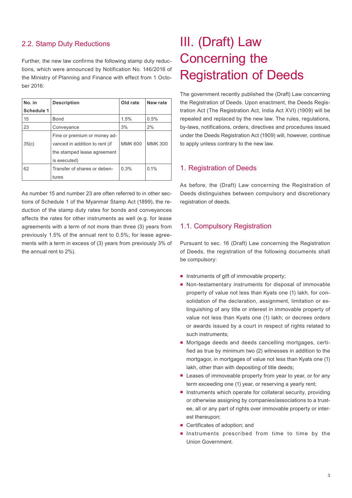#### 2.2. Stamp Duty Reductions

Further, the new law confirms the following stamp duty reductions, which were announced by Notification No. 146/2016 of the Ministry of Planning and Finance with effect from 1 October 2016:

| No. in            | <b>Description</b>             | Old rate       | New rate       |
|-------------------|--------------------------------|----------------|----------------|
| <b>Schedule 1</b> |                                |                |                |
| 15                | <b>Bond</b>                    | 1.5%           | 0.5%           |
| 23                | Conveyance                     | 3%             | 2%             |
|                   | Fine or premium or money ad-   |                |                |
| 35(c)             | vanced in addition to rent (if | <b>MMK 600</b> | <b>MMK 300</b> |
|                   | the stamped lease agreement    |                |                |
|                   | is executed)                   |                |                |
| 62                | Transfer of shares or deben-   | 0.3%           | 0.1%           |
|                   | tures                          |                |                |

As number 15 and number 23 are often referred to in other sections of Schedule 1 of the Myanmar Stamp Act (1899), the reduction of the stamp duty rates for bonds and conveyances affects the rates for other instruments as well (e.g. for lease agreements with a term of not more than three (3) years from previously 1.5% of the annual rent to 0.5%; for lease agreements with a term in excess of (3) years from previously 3% of the annual rent to 2%).

## III. (Draft) Law Concerning the Registration of Deeds

The government recently published the (Draft) Law concerning the Registration of Deeds. Upon enactment, the Deeds Registration Act (The Registration Act, India Act XVI) (1909) will be repealed and replaced by the new law. The rules, regulations, by-laws, notifications, orders, directives and procedures issued under the Deeds Registration Act (1909) will, however, continue to apply unless contrary to the new law.

#### 1. Registration of Deeds

As before, the (Draft) Law concerning the Registration of Deeds distinguishes between compulsory and discretionary registration of deeds.

#### 1.1. Compulsory Registration

Pursuant to sec. 16 (Draft) Law concerning the Registration of Deeds, the registration of the following documents shall be compulsory:

- Instruments of gift of immovable property;
- Non-testamentary instruments for disposal of immovable property of value not less than Kyats one (1) lakh, for consolidation of the declaration, assignment, limitation or extinguishing of any title or interest in immovable property of value not less than Kyats one (1) lakh; or decrees orders or awards issued by a court in respect of rights related to such instruments;
- Mortgage deeds and deeds cancelling mortgages, certified as true by minimum two (2) witnesses in addition to the mortgagor, in mortgages of value not less than Kyats one (1) lakh, other than with depositing of title deeds;
- **E** Leases of immoveable property from year to year, or for any term exceeding one (1) year, or reserving a yearly rent;
- Instruments which operate for collateral security, providing or otherwise assigning by companies/associations to a trustee, all or any part of rights over immovable property or interest thereupon;
- Certificates of adoption: and
- Instruments prescribed from time to time by the Union Government.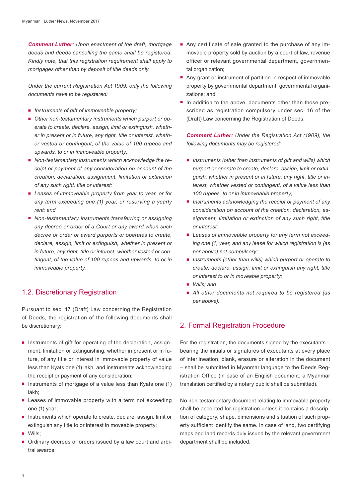*Comment Luther: Upon enactment of the draft, mortgage deeds and deeds cancelling the same shall be registered. Kindly note, that this registration requirement shall apply to mortgages other than by deposit of title deeds only.* 

*Under the current Registration Act 1909, only the following documents have to be registered:*

- *Instruments of gift of immoveable property;*
- *Other non-testamentary instruments which purport or operate to create, declare, assign, limit or extinguish, whether in present or in future, any right, title or interest, whether vested or contingent, of the value of 100 rupees and upwards, to or in immoveable property;*
- *Non-testamentary instruments which acknowledge the receipt or payment of any consideration on account of the creation, declaration, assignment, limitation or extinction of any such right, title or interest;*
- *Leases of immoveable property from year to year, or for any term exceeding one (1) year, or reserving a yearly rent; and*
- *Non-testamentary instruments transferring or assigning any decree or order of a Court or any award when such decree or order or award purports or operates to create, declare, assign, limit or extinguish, whether in present or in future, any right, title or interest, whether vested or contingent, of the value of 100 rupees and upwards, to or in immoveable property.*

#### 1.2. Discretionary Registration

Pursuant to sec. 17 (Draft) Law concerning the Registration of Deeds, the registration of the following documents shall be discretionary:

- **Instruments of gift for operating of the declaration, assign**ment, limitation or extinguishing, whether in present or in future, of any title or interest in immovable property of value less than Kyats one (1) lakh, and instruments acknowledging the receipt or payment of any consideration;
- **Instruments of mortgage of a value less than Kyats one (1)** lakh;
- **Example 2** Leases of immovable property with a term not exceeding one (1) year;
- **Instruments which operate to create, declare, assign, limit or** extinguish any title to or interest in moveable property;
- Wills:
- Ordinary decrees or orders issued by a law court and arbitral awards;
- Any certificate of sale granted to the purchase of any immovable property sold by auction by a court of law, revenue officer or relevant governmental department, governmental organization:
- Any grant or instrument of partition in respect of immovable property by governmental department, governmental organizations; and
- In addition to the above, documents other than those prescribed as registration compulsory under sec. 16 of the (Draft) Law concerning the Registration of Deeds.

*Comment Luther: Under the Registration Act (1909), the following documents may be registered:*

- Instruments (other than instruments of gift and wills) which *purport or operate to create, declare, assign, limit or extinguish, whether in present or in future, any right, title or interest, whether vested or contingent, of a value less than 100 rupees, to or in immoveable property;*
- *Instruments acknowledging the receipt or payment of any consideration on account of the creation, declaration, assignment, limitation or extinction of any such right, title or interest;*
- *Leases of immoveable property for any term not exceeding one (1) year, and any lease for which registration is (as per above) not compulsory;*
- Instruments (other than wills) which purport or operate to *create, declare, assign, limit or extinguish any right, title or interest to or in moveable property;*
- *Wills; and*
- *All other documents not required to be registered (as per above).*

#### 2. Formal Registration Procedure

For the registration, the documents signed by the executants – bearing the initials or signatures of executants at every place of interlineation, blank, erasure or alteration in the document – shall be submitted in Myanmar language to the Deeds Registration Office (in case of an English document, a Myanmar translation certified by a notary public shall be submitted).

No non-testamentary document relating to immovable property shall be accepted for registration unless it contains a description of category, shape, dimensions and situation of such property sufficient identify the same. In case of land, two certifying maps and land records duly issued by the relevant government department shall be included.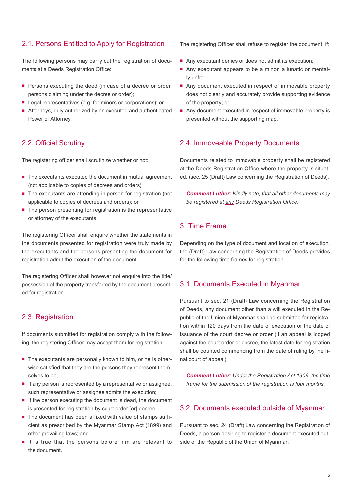#### 2.1. Persons Entitled to Apply for Registration

The following persons may carry out the registration of documents at a Deeds Registration Office:

- **Persons executing the deed (in case of a decree or order,** persons claiming under the decree or order);
- **Legal representatives (e.g. for minors or corporations); or**
- Attorneys, duly authorized by an executed and authenticated Power of Attorney.

#### 2.2. Official Scrutiny

The registering officer shall scrutinize whether or not:

- The executants executed the document in mutual agreement (not applicable to copies of decrees and orders);
- The executants are attending in person for registration (not applicable to copies of decrees and orders); or
- $\blacksquare$  The person presenting for registration is the representative or attorney of the executants.

The registering Officer shall enquire whether the statements in the documents presented for registration were truly made by the executants and the persons presenting the document for registration admit the execution of the document.

The registering Officer shall however not enquire into the title/ possession of the property transferred by the document presented for registration.

#### 2.3. Registration

If documents submitted for registration comply with the following, the registering Officer may accept them for registration:

- The executants are personally known to him, or he is otherwise satisfied that they are the persons they represent themselves to be;
- **If any person is represented by a representative or assignee,** such representative or assignee admits the execution;
- If the person executing the document is dead, the document is presented for registration by court order [or] decree;
- The document has been affixed with value of stamps sufficient as prescribed by the Myanmar Stamp Act (1899) and other prevailing laws; and
- If is true that the persons before him are relevant to the document.

The registering Officer shall refuse to register the document, if:

- Any executant denies or does not admit its execution;
- Any executant appears to be a minor, a lunatic or mentally unfit;
- Any document executed in respect of immovable property does not clearly and accurately provide supporting evidence of the property; or
- Any document executed in respect of immovable property is presented without the supporting map.

#### 2.4. Immoveable Property Documents

Documents related to immovable property shall be registered at the Deeds Registration Office where the property is situated. (sec. 25 (Draft) Law concerning the Registration of Deeds).

*Comment Luther: Kindly note, that all other documents may be registered at any Deeds Registration Office.*

#### 3. Time Frame

Depending on the type of document and location of execution, the (Draft) Law concerning the Registration of Deeds provides for the following time frames for registration.

#### 3.1. Documents Executed in Myanmar

Pursuant to sec. 21 (Draft) Law concerning the Registration of Deeds, any document other than a will executed in the Republic of the Union of Myanmar shall be submitted for registration within 120 days from the date of execution or the date of issuance of the court decree or order (if an appeal is lodged against the court order or decree, the latest date for registration shall be counted commencing from the date of ruling by the final court of appeal).

*Comment Luther: Under the Registration Act 1909, the time frame for the submission of the registration is four months.*

#### 3.2. Documents executed outside of Myanmar

Pursuant to sec. 24 (Draft) Law concerning the Registration of Deeds, a person desiring to register a document executed outside of the Republic of the Union of Myanmar: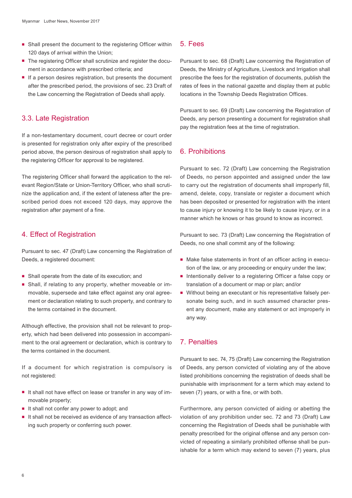- Shall present the document to the registering Officer within 120 days of arrival within the Union;
- The registering Officer shall scrutinize and register the document in accordance with prescribed criteria; and
- If a person desires registration, but presents the document after the prescribed period, the provisions of sec. 23 Draft of the Law concerning the Registration of Deeds shall apply.

#### 3.3. Late Registration

If a non-testamentary document, court decree or court order is presented for registration only after expiry of the prescribed period above, the person desirous of registration shall apply to the registering Officer for approval to be registered.

The registering Officer shall forward the application to the relevant Region/State or Union-Territory Officer, who shall scrutinize the application and, if the extent of lateness after the prescribed period does not exceed 120 days, may approve the registration after payment of a fine.

#### 4. Effect of Registration

Pursuant to sec. 47 (Draft) Law concerning the Registration of Deeds, a registered document:

- Shall operate from the date of its execution; and
- Shall, if relating to any property, whether moveable or immovable, supersede and take effect against any oral agreement or declaration relating to such property, and contrary to the terms contained in the document.

Although effective, the provision shall not be relevant to property, which had been delivered into possession in accompaniment to the oral agreement or declaration, which is contrary to the terms contained in the document.

If a document for which registration is compulsory is not registered:

- It shall not have effect on lease or transfer in any way of immovable property;
- If shall not confer any power to adopt; and
- It shall not be received as evidence of any transaction affecting such property or conferring such power.

#### 5. Fees

Pursuant to sec. 68 (Draft) Law concerning the Registration of Deeds, the Ministry of Agriculture, Livestock and Irrigation shall prescribe the fees for the registration of documents, publish the rates of fees in the national gazette and display them at public locations in the Township Deeds Registration Offices.

Pursuant to sec. 69 (Draft) Law concerning the Registration of Deeds, any person presenting a document for registration shall pay the registration fees at the time of registration.

#### 6. Prohibitions

Pursuant to sec. 72 (Draft) Law concerning the Registration of Deeds, no person appointed and assigned under the law to carry out the registration of documents shall improperly fill, amend, delete, copy, translate or register a document which has been deposited or presented for registration with the intent to cause injury or knowing it to be likely to cause injury, or in a manner which he knows or has ground to know as incorrect.

Pursuant to sec. 73 (Draft) Law concerning the Registration of Deeds, no one shall commit any of the following:

- Make false statements in front of an officer acting in execution of the law, or any proceeding or enquiry under the law;
- **Intentionally deliver to a registering Officer a false copy or** translation of a document or map or plan; and/or
- Without being an executant or his representative falsely personate being such, and in such assumed character present any document, make any statement or act improperly in any way.

#### 7. Penalties

Pursuant to sec. 74, 75 (Draft) Law concerning the Registration of Deeds, any person convicted of violating any of the above listed prohibitions concerning the registration of deeds shall be punishable with imprisonment for a term which may extend to seven (7) years, or with a fine, or with both.

Furthermore, any person convicted of aiding or abetting the violation of any prohibition under sec. 72 and 73 (Draft) Law concerning the Registration of Deeds shall be punishable with penalty prescribed for the original offense and any person convicted of repeating a similarly prohibited offense shall be punishable for a term which may extend to seven (7) years, plus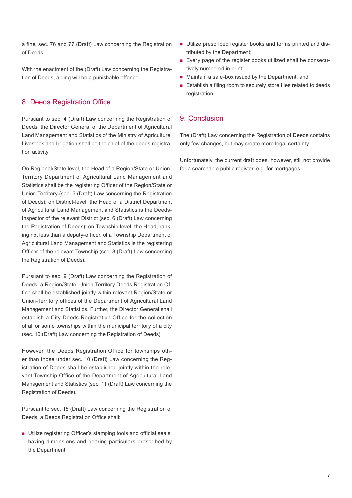a fine, sec. 76 and 77 (Draft) Law concerning the Registration of Deeds.

With the enactment of the (Draft) Law concerning the Registration of Deeds, aiding will be a punishable offence.

#### 8. Deeds Registration Office

Pursuant to sec. 4 (Draft) Law concerning the Registration of Deeds, the Director General of the Department of Agricultural Land Management and Statistics of the Ministry of Agriculture, Livestock and Irrigation shall be the chief of the deeds registration activity.

On Regional/State level, the Head of a Region/State or Union-Territory Department of Agricultural Land Management and Statistics shall be the registering Officer of the Region/State or Union-Territory (sec. 5 (Draft) Law concerning the Registration of Deeds); on District-level, the Head of a District Department of Agricultural Land Management and Statistics is the Deeds-Inspector of the relevant District (sec. 6 (Draft) Law concerning the Registration of Deeds); on Township level, the Head, ranking not less than a deputy-officer, of a Township Department of Agricultural Land Management and Statistics is the registering Officer of the relevant Township (sec. 8 (Draft) Law concerning the Registration of Deeds).

Pursuant to sec. 9 (Draft) Law concerning the Registration of Deeds, a Region/State, Union-Territory Deeds Registration Office shall be established jointly within relevant Region/State or Union-Territory offices of the Department of Agricultural Land Management and Statistics. Further, the Director General shall establish a City Deeds Registration Office for the collection of all or some townships within the municipal territory of a city (sec. 10 (Draft) Law concerning the Registration of Deeds).

However, the Deeds Registration Office for townships other than those under sec. 10 (Draft) Law concerning the Registration of Deeds shall be established jointly within the relevant Township Office of the Department of Agricultural Land Management and Statistics (sec. 11 (Draft) Law concerning the Registration of Deeds).

Pursuant to sec. 15 (Draft) Law concerning the Registration of Deeds, a Deeds Registration Office shall:

**Utilize registering Officer's stamping tools and official seals,** having dimensions and bearing particulars prescribed by the Department;

- Utilize prescribed register books and forms printed and distributed by the Department;
- Every page of the register books utilized shall be consecutively numbered in print;
- Maintain a safe-box issued by the Department; and
- **Establish a filing room to securely store files related to deeds** registration.

#### 9. Conclusion

The (Draft) Law concerning the Registration of Deeds contains only few changes, but may create more legal certainty.

Unfortunately, the current draft does, however, still not provide for a searchable public register, e.g. for mortgages.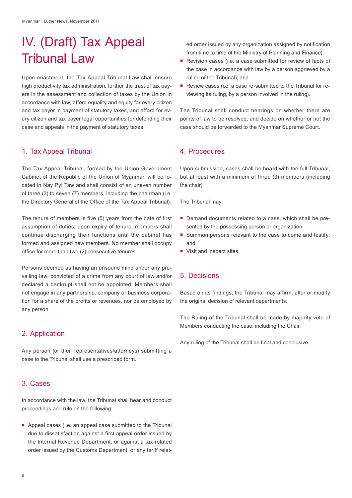## IV. (Draft) Tax Appeal Tribunal Law

Upon enactment, the Tax Appeal Tribunal Law shall ensure high productivity tax administration, further the trust of tax payers in the assessment and collection of taxes by the Union in accordance with law, afford equality and equity for every citizen and tax payer in payment of statutory taxes, and afford for every citizen and tax payer legal opportunities for defending their case and appeals in the payment of statutory taxes.

#### 1. Tax Appeal Tribunal

The Tax Appeal Tribunal, formed by the Union Government Cabinet of the Republic of the Union of Myanmar, will be located in Nay Pyi Taw and shall consist of an uneven number of three (3) to seven (7) members, including the chairman (i.e. the Directory General of the Office of the Tax Appeal Tribunal).

The tenure of members is five (5) years from the date of first assumption of duties; upon expiry of tenure, members shall continue discharging their functions until the cabinet has formed and assigned new members. No member shall occupy office for more than two (2) consecutive tenures.

Persons deemed as having an unsound mind under any prevailing law, convicted of a crime from any court of law and/or declared a bankrupt shall not be appointed. Members shall not engage in any partnership, company or business corporation for a share of the profits or revenues, nor be employed by any person.

#### 2. Application

Any person (or their representatives/attorneys) submitting a case to the Tribunal shall use a prescribed form.

#### 3. Cases

In accordance with the law, the Tribunal shall hear and conduct proceedings and rule on the following:

Appeal cases (i.e. an appeal case submitted to the Tribunal due to dissatisfaction against a first appeal order issued by the Internal Revenue Department, or against a tax-related order issued by the Customs Department, or any tariff related order issued by any organization assigned by notification from time to time of the Ministry of Planning and Finance);

- Revision cases (i.e. a case submitted for review of facts of the case in accordance with law by a person aggrieved by a ruling of the Tribunal); and
- Review cases (i.e. a case re-submitted to the Tribunal for reviewing its ruling, by a person involved in the ruling).

The Tribunal shall conduct hearings on whether there are points of law to be resolved, and decide on whether or not the case should be forwarded to the Myanmar Supreme Court.

#### 4. Procedures

Upon submission, cases shall be heard with the full Tribunal, but at least with a minimum of three (3) members (including the chair).

The Tribunal may:

- Demand documents related to a case, which shall be presented by the possessing person or organization;
- Summon persons relevant to the case to come and testify; and
- Visit and inspect sites.

#### 5. Decisions

Based on its findings, the Tribunal may affirm, alter or modify the original decision of relevant departments.

The Ruling of the Tribunal shall be made by majority vote of Members conducting the case, including the Chair.

Any ruling of the Tribunal shall be final and conclusive.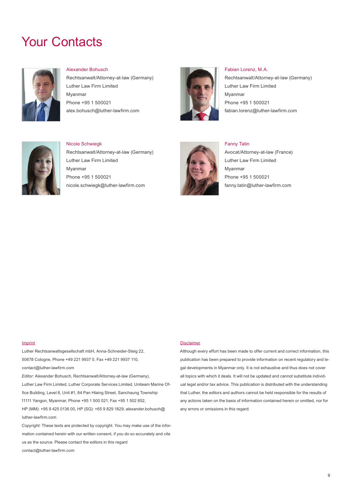### Your Contacts



#### Alexander Bohusch

Rechtsanwalt/Attorney-at-law (Germany) Luther Law Firm Limited Myanmar Phone +95 1 500021 alex.bohusch@luther-lawfirm.com



#### Fabian Lorenz, M.A. Rechtsanwalt/Attorney-at-law (Germany) Luther Law Firm Limited Myanmar Phone +95 1 500021 fabian.lorenz@luther-lawfirm.com



Nicole Schwiegk Rechtsanwalt/Attorney-at-law (Germany) Luther Law Firm Limited Myanmar Phone +95 1 500021 nicole.schwiegk@luther-lawfirm.com



Fanny Tatin Avocat/Attorney-at-law (France) Luther Law Firm Limited Myanmar Phone +95 1 500021

fanny.tatin@luther-lawfirm.com

#### Imprint

Luther Rechtsanwaltsgesellschaft mbH, Anna-Schneider-Steig 22, 50678 Cologne, Phone +49 221 9937 0, Fax +49 221 9937 110, contact@luther-lawfirm.com *Editor:* Alexander Bohusch, Rechtsanwalt/Attorney-at-law (Germany),

Luther Law Firm Limited, Luther Corporate Services Limited, Uniteam Marine Office Building, Level 8, Unit #1, 84 Pan Hlaing Street, Sanchaung Township 11111 Yangon, Myanmar, Phone +95 1 500 021, Fax +95 1 502 852, HP (MM): +95 9 425 0136 00, HP (SG): +65 9 829 1829, alexander.bohusch@ luther-lawfirm.com

*Copyright:* These texts are protected by copyright. You may make use of the information contained herein with our written consent, if you do so accurately and cite us as the source. Please contact the editors in this regard contact@luther-lawfirm.com

#### **Disclaimer**

Although every effort has been made to offer current and correct information, this publication has been prepared to provide information on recent regulatory and legal developments in Myanmar only. It is not exhaustive and thus does not cover all topics with which it deals. It will not be updated and cannot substitute individual legal and/or tax advice. This publication is distributed with the understanding that Luther, the editors and authors cannot be held responsible for the results of any actions taken on the basis of information contained herein or omitted, nor for any errors or omissions in this regard.